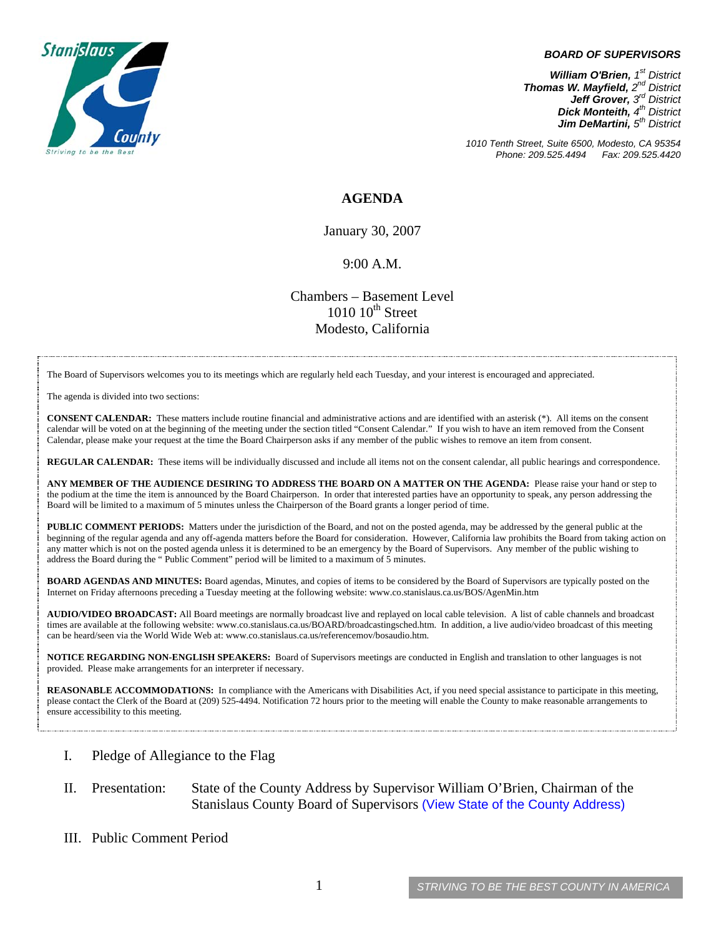

#### *BOARD OF SUPERVISORS*

*William O'Brien, 1<sup>st</sup> District Thomas W. Mayfield, 2nd District Jeff Grover, 3rd District Dick Monteith, 4<sup>th</sup> District Jim DeMartini,*  $5<sup>th</sup>$  District

*1010 Tenth Street, Suite 6500, Modesto, CA 95354 Phone: 209.525.4494* 

### **AGENDA**

January 30, 2007

### 9:00 A.M.

Chambers – Basement Level  $1010~10<sup>th</sup>$  Street Modesto, California

The Board of Supervisors welcomes you to its meetings which are regularly held each Tuesday, and your interest is encouraged and appreciated.

The agenda is divided into two sections:

**CONSENT CALENDAR:** These matters include routine financial and administrative actions and are identified with an asterisk (\*). All items on the consent calendar will be voted on at the beginning of the meeting under the section titled "Consent Calendar." If you wish to have an item removed from the Consent Calendar, please make your request at the time the Board Chairperson asks if any member of the public wishes to remove an item from consent.

**REGULAR CALENDAR:** These items will be individually discussed and include all items not on the consent calendar, all public hearings and correspondence.

**ANY MEMBER OF THE AUDIENCE DESIRING TO ADDRESS THE BOARD ON A MATTER ON THE AGENDA:** Please raise your hand or step to the podium at the time the item is announced by the Board Chairperson. In order that interested parties have an opportunity to speak, any person addressing the Board will be limited to a maximum of 5 minutes unless the Chairperson of the Board grants a longer period of time.

**PUBLIC COMMENT PERIODS:** Matters under the jurisdiction of the Board, and not on the posted agenda, may be addressed by the general public at the beginning of the regular agenda and any off-agenda matters before the Board for consideration. However, California law prohibits the Board from taking action on any matter which is not on the posted agenda unless it is determined to be an emergency by the Board of Supervisors. Any member of the public wishing to address the Board during the " Public Comment" period will be limited to a maximum of 5 minutes.

**BOARD AGENDAS AND MINUTES:** Board agendas, Minutes, and copies of items to be considered by the Board of Supervisors are typically posted on the Internet on Friday afternoons preceding a Tuesday meeting at the following website: [www.co.stanislaus.ca.us/BOS/AgenMin.htm](http://www.co.stanislaus.ca.us/BOS/AgenMin.htm) 

**AUDIO/VIDEO BROADCAST:** All Board meetings are normally broadcast live and replayed on local cable television. A list of cable channels and broadcast times are available at the following website: [www.co.stanislaus.ca.us/BOARD/broadcastingsched.htm](http://www.co.stanislaus.ca.us/BOARD/broadcastingsched.htm). In addition, a live audio/video broadcast of this meeting can be heard/seen via the World Wide Web at: [www.co.stanislaus.ca.us/referencemov/bosaudio.htm.](http://www.co.stanislaus.ca.us/referencemov/bosaudio.htm)

**NOTICE REGARDING NON-ENGLISH SPEAKERS:** Board of Supervisors meetings are conducted in English and translation to other languages is not provided. Please make arrangements for an interpreter if necessary.

**REASONABLE ACCOMMODATIONS:** In compliance with the Americans with Disabilities Act, if you need special assistance to participate in this meeting, please contact the Clerk of the Board at (209) 525-4494. Notification 72 hours prior to the meeting will enable the County to make reasonable arrangements to ensure accessibility to this meeting.

- I. Pledge of Allegiance to the Flag
- II. Presentation: State of the County Address by Supervisor William O'Brien, Chairman of the Stanislaus County Board of Supervisors [\(View State of the County Address\)](http://www.co.stanislaus.ca.us/BOS/Agenda/2007/20070130/StateoftheCounty.pdf)
- III. Public Comment Period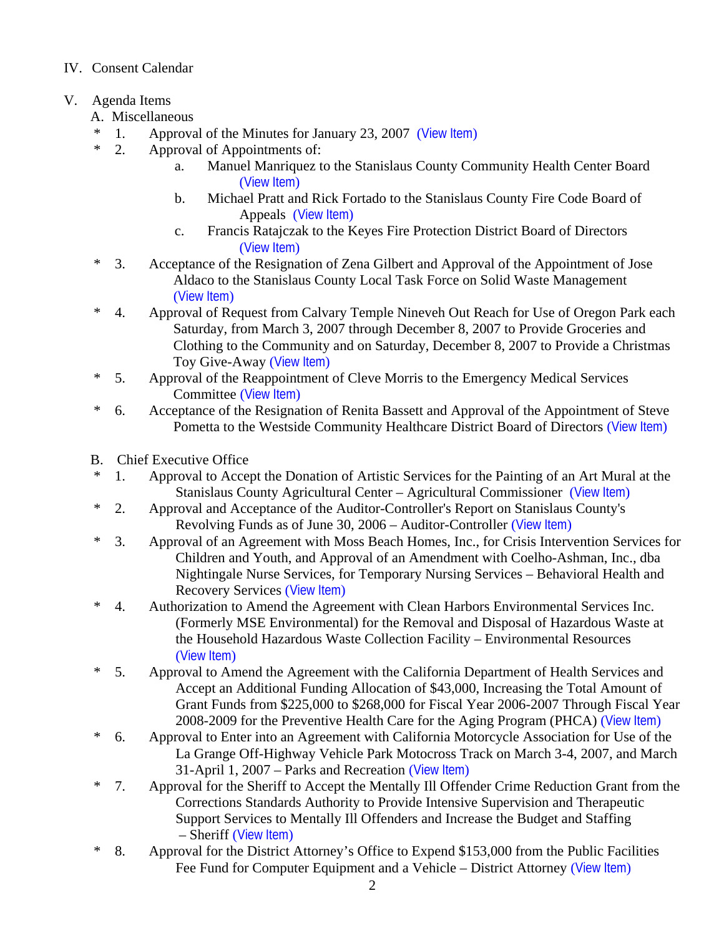# IV. Consent Calendar

- V. Agenda Items
	- A. Miscellaneous
	- \* 1. Approval of the Minutes for January 23, 2007 ([View Item](http://www.co.stanislaus.ca.us/BOS/MINUTES/2007/min01-23-07.pdf))
	- \* 2. Approval of Appointments of:
		- a. Manuel Manriquez to the Stanislaus County Community Health Center Board ([View Item](http://www.co.stanislaus.ca.us/BOS/Agenda/2007/20070130/A02a.pdf))
		- b. Michael Pratt and Rick Fortado to the Stanislaus County Fire Code Board of Appeals ([View Item](http://www.co.stanislaus.ca.us/BOS/Agenda/2007/20070130/A02b.pdf))
		- c. Francis Ratajczak to the Keyes Fire Protection District Board of Directors ([View Item](http://www.co.stanislaus.ca.us/BOS/Agenda/2007/20070130/A02c.pdf))
	- \* 3. Acceptance of the Resignation of Zena Gilbert and Approval of the Appointment of Jose Aldaco to the Stanislaus County Local Task Force on Solid Waste Management ([View Item](http://www.co.stanislaus.ca.us/BOS/Agenda/2007/20070130/A03.pdf))
	- \* 4. Approval of Request from Calvary Temple Nineveh Out Reach for Use of Oregon Park each Saturday, from March 3, 2007 through December 8, 2007 to Provide Groceries and Clothing to the Community and on Saturday, December 8, 2007 to Provide a Christmas Toy Give-Away ([View Item](http://www.co.stanislaus.ca.us/BOS/Agenda/2007/20070130/A04.pdf))
	- \* 5. Approval of the Reappointment of Cleve Morris to the Emergency Medical Services Committee ([View Item](http://www.co.stanislaus.ca.us/BOS/Agenda/2007/20070130/A05.pdf))
	- \* 6. Acceptance of the Resignation of Renita Bassett and Approval of the Appointment of Steve Pometta to the Westside Community Healthcare District Board of Directors ([View Item](http://www.co.stanislaus.ca.us/BOS/Agenda/2007/20070130/A06.pdf))
	- B. Chief Executive Office
	- \* 1. Approval to Accept the Donation of Artistic Services for the Painting of an Art Mural at the Stanislaus County Agricultural Center – Agricultural Commissioner ([View Item](http://www.co.stanislaus.ca.us/BOS/Agenda/2007/20070130/B01.pdf))
	- \* 2. Approval and Acceptance of the Auditor-Controller's Report on Stanislaus County's Revolving Funds as of June 30, 2006 – Auditor-Controller ([View Item](http://www.co.stanislaus.ca.us/BOS/Agenda/2007/20070130/B02.pdf))
	- \* 3. Approval of an Agreement with Moss Beach Homes, Inc., for Crisis Intervention Services for Children and Youth, and Approval of an Amendment with Coelho-Ashman, Inc., dba Nightingale Nurse Services, for Temporary Nursing Services – Behavioral Health and Recovery Services ([View Item](http://www.co.stanislaus.ca.us/BOS/Agenda/2007/20070130/B03.pdf))
	- \* 4. Authorization to Amend the Agreement with Clean Harbors Environmental Services Inc. (Formerly MSE Environmental) for the Removal and Disposal of Hazardous Waste at the Household Hazardous Waste Collection Facility – Environmental Resources ([View Item](http://www.co.stanislaus.ca.us/BOS/Agenda/2007/20070130/B04.pdf))
	- \* 5. Approval to Amend the Agreement with the California Department of Health Services and Accept an Additional Funding Allocation of \$43,000, Increasing the Total Amount of Grant Funds from \$225,000 to \$268,000 for Fiscal Year 2006-2007 Through Fiscal Year 2008-2009 for the Preventive Health Care for the Aging Program (PHCA) ([View Item](http://www.co.stanislaus.ca.us/BOS/Agenda/2007/20070130/B05.pdf))
	- \* 6. Approval to Enter into an Agreement with California Motorcycle Association for Use of the La Grange Off-Highway Vehicle Park Motocross Track on March 3-4, 2007, and March 31-April 1, 2007 – Parks and Recreation ([View Item](http://www.co.stanislaus.ca.us/BOS/Agenda/2007/20070130/B06.pdf))
	- \* 7. Approval for the Sheriff to Accept the Mentally Ill Offender Crime Reduction Grant from the Corrections Standards Authority to Provide Intensive Supervision and Therapeutic Support Services to Mentally Ill Offenders and Increase the Budget and Staffing – Sheriff ([View Item](http://www.co.stanislaus.ca.us/BOS/Agenda/2007/20070130/B07.pdf))
	- \* 8. Approval for the District Attorney's Office to Expend \$153,000 from the Public Facilities Fee Fund for Computer Equipment and a Vehicle – District Attorney ([View Item](http://www.co.stanislaus.ca.us/BOS/Agenda/2007/20070130/B08.pdf))